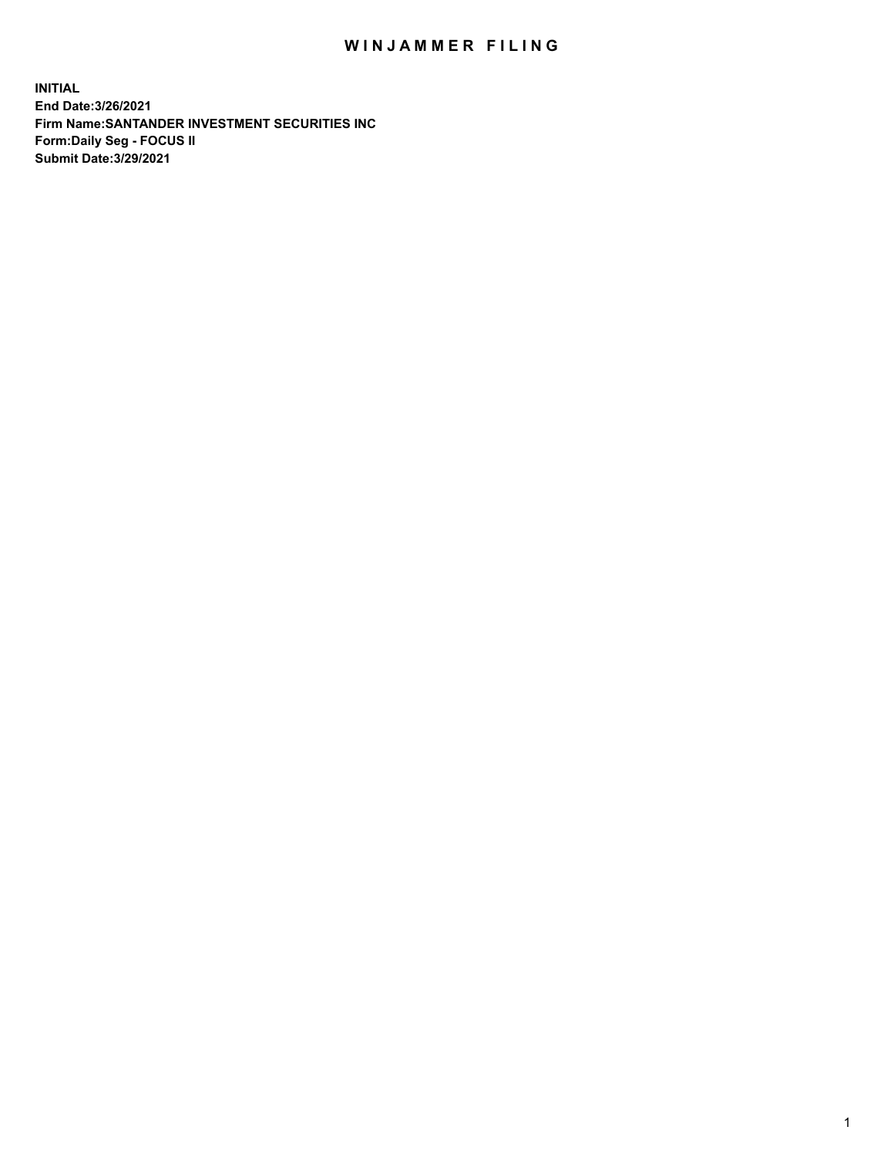## WIN JAMMER FILING

**INITIAL End Date:3/26/2021 Firm Name:SANTANDER INVESTMENT SECURITIES INC Form:Daily Seg - FOCUS II Submit Date:3/29/2021**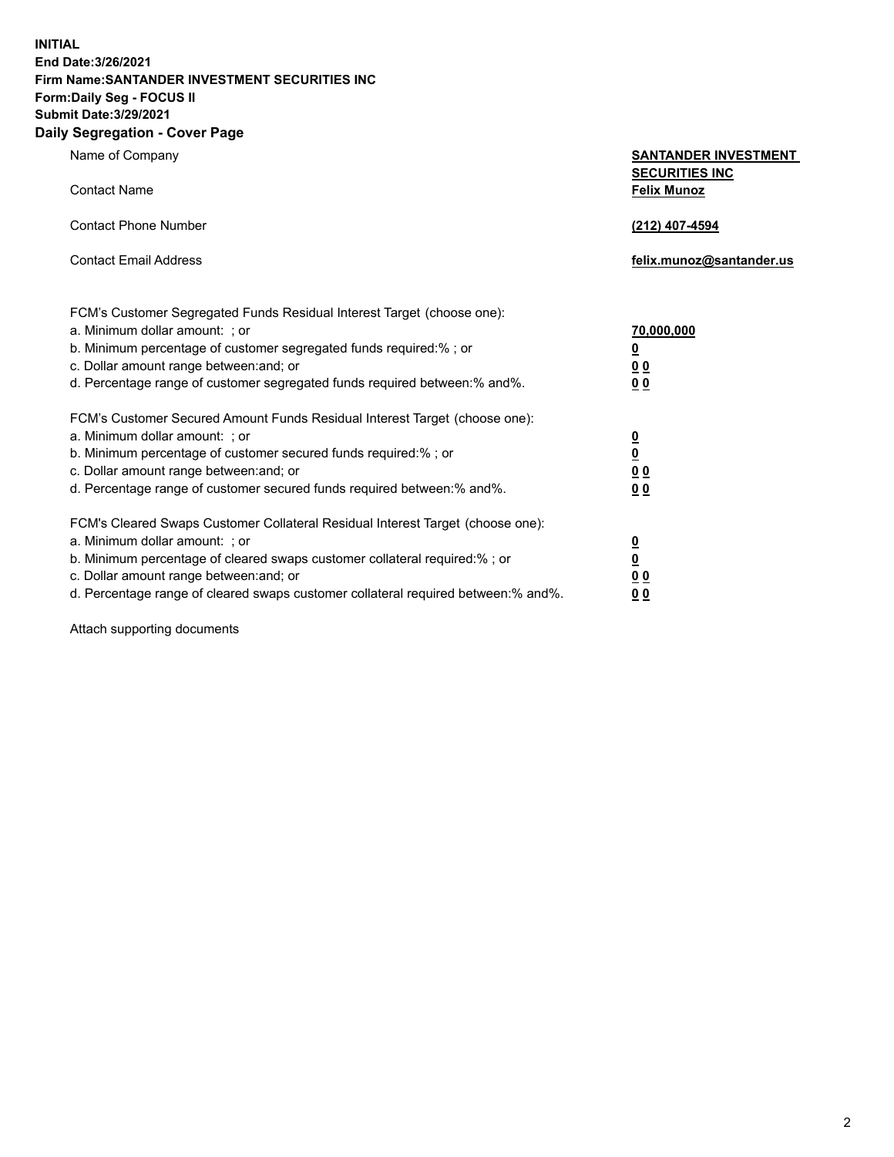**INITIAL End Date:3/26/2021 Firm Name:SANTANDER INVESTMENT SECURITIES INC Form:Daily Seg - FOCUS II Submit Date:3/29/2021 Daily Segregation - Cover Page**

| Name of Company<br><b>Contact Name</b>                                                                                                                                                                                                                                                                                         | <b>SANTANDER INVESTMENT</b><br><b>SECURITIES INC</b><br><b>Felix Munoz</b> |
|--------------------------------------------------------------------------------------------------------------------------------------------------------------------------------------------------------------------------------------------------------------------------------------------------------------------------------|----------------------------------------------------------------------------|
| <b>Contact Phone Number</b>                                                                                                                                                                                                                                                                                                    | (212) 407-4594                                                             |
| <b>Contact Email Address</b>                                                                                                                                                                                                                                                                                                   | felix.munoz@santander.us                                                   |
| FCM's Customer Segregated Funds Residual Interest Target (choose one):<br>a. Minimum dollar amount: ; or<br>b. Minimum percentage of customer segregated funds required:% ; or<br>c. Dollar amount range between: and; or<br>d. Percentage range of customer segregated funds required between:% and%.                         | <u>70,000,000</u><br><u>0</u><br>00<br>0 <sub>0</sub>                      |
| FCM's Customer Secured Amount Funds Residual Interest Target (choose one):<br>a. Minimum dollar amount: ; or<br>b. Minimum percentage of customer secured funds required:%; or<br>c. Dollar amount range between: and; or<br>d. Percentage range of customer secured funds required between:% and%.                            | $\frac{0}{0}$<br>0 <sub>0</sub><br>0 <sub>0</sub>                          |
| FCM's Cleared Swaps Customer Collateral Residual Interest Target (choose one):<br>a. Minimum dollar amount: ; or<br>b. Minimum percentage of cleared swaps customer collateral required:% ; or<br>c. Dollar amount range between: and; or<br>d. Percentage range of cleared swaps customer collateral required between:% and%. | $\frac{0}{0}$<br>0 <sub>0</sub><br>00                                      |

Attach supporting documents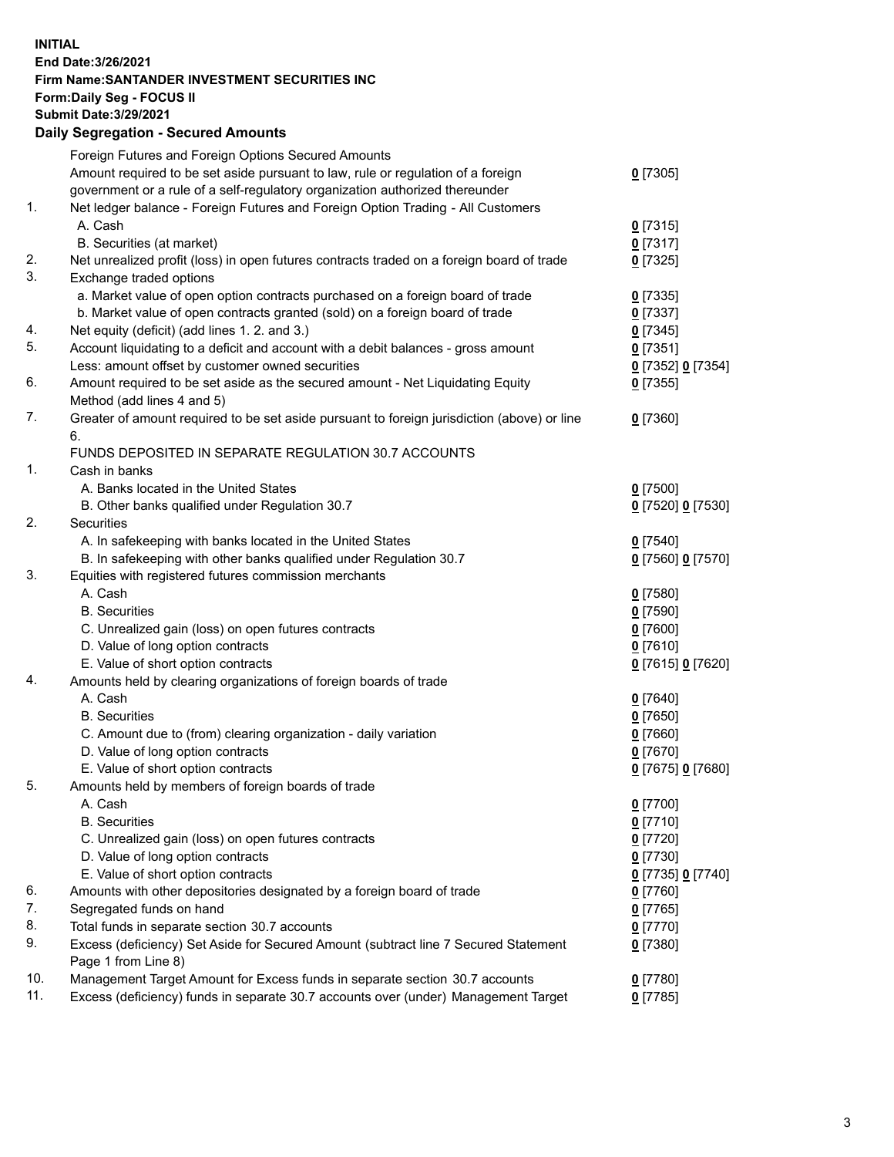**INITIAL End Date:3/26/2021 Firm Name:SANTANDER INVESTMENT SECURITIES INC Form:Daily Seg - FOCUS II Submit Date:3/29/2021 Daily Segregation - Secured Amounts**

|     | Foreign Futures and Foreign Options Secured Amounts                                         |                   |
|-----|---------------------------------------------------------------------------------------------|-------------------|
|     | Amount required to be set aside pursuant to law, rule or regulation of a foreign            | $0$ [7305]        |
|     | government or a rule of a self-regulatory organization authorized thereunder                |                   |
| 1.  | Net ledger balance - Foreign Futures and Foreign Option Trading - All Customers             |                   |
|     | A. Cash                                                                                     | $0$ [7315]        |
|     | B. Securities (at market)                                                                   | 0[7317]           |
| 2.  | Net unrealized profit (loss) in open futures contracts traded on a foreign board of trade   | $0$ [7325]        |
| 3.  | Exchange traded options                                                                     |                   |
|     | a. Market value of open option contracts purchased on a foreign board of trade              | $0$ [7335]        |
|     | b. Market value of open contracts granted (sold) on a foreign board of trade                | $0$ [7337]        |
| 4.  | Net equity (deficit) (add lines 1. 2. and 3.)                                               | $0$ [7345]        |
| 5.  | Account liquidating to a deficit and account with a debit balances - gross amount           | $0$ [7351]        |
|     | Less: amount offset by customer owned securities                                            | 0 [7352] 0 [7354] |
| 6.  | Amount required to be set aside as the secured amount - Net Liquidating Equity              | $0$ [7355]        |
|     | Method (add lines 4 and 5)                                                                  |                   |
| 7.  | Greater of amount required to be set aside pursuant to foreign jurisdiction (above) or line | $0$ [7360]        |
|     | 6.                                                                                          |                   |
|     | FUNDS DEPOSITED IN SEPARATE REGULATION 30.7 ACCOUNTS                                        |                   |
| 1.  | Cash in banks                                                                               |                   |
|     | A. Banks located in the United States                                                       | $0$ [7500]        |
|     | B. Other banks qualified under Regulation 30.7                                              | 0 [7520] 0 [7530] |
| 2.  | Securities                                                                                  |                   |
|     | A. In safekeeping with banks located in the United States                                   | $0$ [7540]        |
|     | B. In safekeeping with other banks qualified under Regulation 30.7                          | 0 [7560] 0 [7570] |
| 3.  | Equities with registered futures commission merchants                                       |                   |
|     | A. Cash                                                                                     | $0$ [7580]        |
|     | <b>B.</b> Securities                                                                        | $0$ [7590]        |
|     | C. Unrealized gain (loss) on open futures contracts                                         | $0$ [7600]        |
|     | D. Value of long option contracts                                                           | $0$ [7610]        |
|     | E. Value of short option contracts                                                          | 0 [7615] 0 [7620] |
| 4.  | Amounts held by clearing organizations of foreign boards of trade                           |                   |
|     | A. Cash                                                                                     | $0$ [7640]        |
|     | <b>B.</b> Securities                                                                        | $0$ [7650]        |
|     | C. Amount due to (from) clearing organization - daily variation                             | $0$ [7660]        |
|     | D. Value of long option contracts                                                           | $0$ [7670]        |
|     | E. Value of short option contracts                                                          | 0 [7675] 0 [7680] |
| 5.  | Amounts held by members of foreign boards of trade                                          |                   |
|     | A. Cash                                                                                     | $0$ [7700]        |
|     | <b>B.</b> Securities                                                                        | $0$ [7710]        |
|     | C. Unrealized gain (loss) on open futures contracts                                         | $0$ [7720]        |
|     | D. Value of long option contracts                                                           | $0$ [7730]        |
|     | E. Value of short option contracts                                                          | 0 [7735] 0 [7740] |
| 6.  | Amounts with other depositories designated by a foreign board of trade                      | $0$ [7760]        |
| 7.  | Segregated funds on hand                                                                    | $0$ [7765]        |
| 8.  | Total funds in separate section 30.7 accounts                                               | $0$ [7770]        |
| 9.  | Excess (deficiency) Set Aside for Secured Amount (subtract line 7 Secured Statement         | 0 [7380]          |
|     | Page 1 from Line 8)                                                                         |                   |
| 10. | Management Target Amount for Excess funds in separate section 30.7 accounts                 | $0$ [7780]        |
| 11. | Excess (deficiency) funds in separate 30.7 accounts over (under) Management Target          | $0$ [7785]        |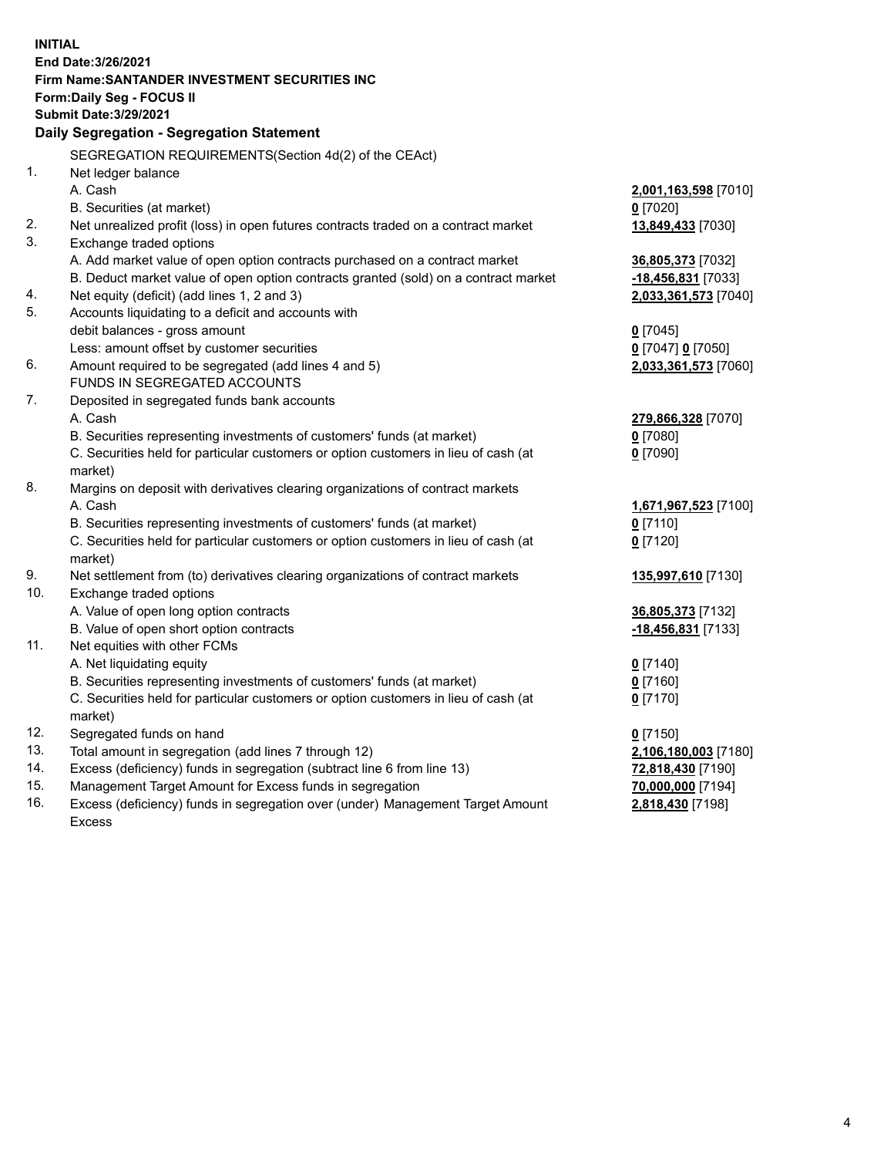|            | <b>INITIAL</b><br>End Date: 3/26/2021<br>Firm Name: SANTANDER INVESTMENT SECURITIES INC                                         |                                       |
|------------|---------------------------------------------------------------------------------------------------------------------------------|---------------------------------------|
|            | <b>Form:Daily Seg - FOCUS II</b>                                                                                                |                                       |
|            | <b>Submit Date: 3/29/2021</b>                                                                                                   |                                       |
|            | Daily Segregation - Segregation Statement                                                                                       |                                       |
|            | SEGREGATION REQUIREMENTS(Section 4d(2) of the CEAct)                                                                            |                                       |
| 1.         | Net ledger balance                                                                                                              |                                       |
|            | A. Cash                                                                                                                         | 2,001,163,598 [7010]                  |
|            | B. Securities (at market)                                                                                                       | $0$ [7020]                            |
| 2.         | Net unrealized profit (loss) in open futures contracts traded on a contract market                                              | 13,849,433 [7030]                     |
| 3.         | Exchange traded options                                                                                                         |                                       |
|            | A. Add market value of open option contracts purchased on a contract market                                                     | 36,805,373 [7032]                     |
|            | B. Deduct market value of open option contracts granted (sold) on a contract market                                             | $-18,456,831$ [7033]                  |
| 4.<br>5.   | Net equity (deficit) (add lines 1, 2 and 3)                                                                                     | 2,033,361,573 [7040]                  |
|            | Accounts liquidating to a deficit and accounts with<br>debit balances - gross amount                                            | $0$ [7045]                            |
|            | Less: amount offset by customer securities                                                                                      | 0 [7047] 0 [7050]                     |
| 6.         | Amount required to be segregated (add lines 4 and 5)                                                                            | 2,033,361,573 [7060]                  |
|            | FUNDS IN SEGREGATED ACCOUNTS                                                                                                    |                                       |
| 7.         | Deposited in segregated funds bank accounts                                                                                     |                                       |
|            | A. Cash                                                                                                                         | 279,866,328 [7070]                    |
|            | B. Securities representing investments of customers' funds (at market)                                                          | $0$ [7080]                            |
|            | C. Securities held for particular customers or option customers in lieu of cash (at                                             | $0$ [7090]                            |
|            | market)                                                                                                                         |                                       |
| 8.         | Margins on deposit with derivatives clearing organizations of contract markets                                                  |                                       |
|            | A. Cash                                                                                                                         | 1,671,967,523 [7100]                  |
|            | B. Securities representing investments of customers' funds (at market)                                                          | $0$ [7110]                            |
|            | C. Securities held for particular customers or option customers in lieu of cash (at                                             | $0$ [7120]                            |
|            | market)                                                                                                                         |                                       |
| 9.         | Net settlement from (to) derivatives clearing organizations of contract markets                                                 | 135,997,610 [7130]                    |
| 10.        | Exchange traded options                                                                                                         |                                       |
|            | A. Value of open long option contracts                                                                                          | 36,805,373 [7132]                     |
|            | B. Value of open short option contracts                                                                                         | $-18,456,831$ [7133]                  |
| 11.        | Net equities with other FCMs                                                                                                    |                                       |
|            | A. Net liquidating equity                                                                                                       | $0$ [7140]                            |
|            | B. Securities representing investments of customers' funds (at market)                                                          | $0$ [7160]                            |
|            | C. Securities held for particular customers or option customers in lieu of cash (at                                             | $0$ [7170]                            |
|            | market)                                                                                                                         |                                       |
| 12.<br>13. | Segregated funds on hand                                                                                                        | $0$ [7150]                            |
| 14.        | Total amount in segregation (add lines 7 through 12)<br>Excess (deficiency) funds in segregation (subtract line 6 from line 13) | 2,106,180,003 [7180]                  |
| 15.        | Management Target Amount for Excess funds in segregation                                                                        | 72,818,430 [7190]                     |
| 16.        | Excess (deficiency) funds in segregation over (under) Management Target Amount                                                  | 70,000,000 [7194]<br>2,818,430 [7198] |
|            | <b>Excess</b>                                                                                                                   |                                       |